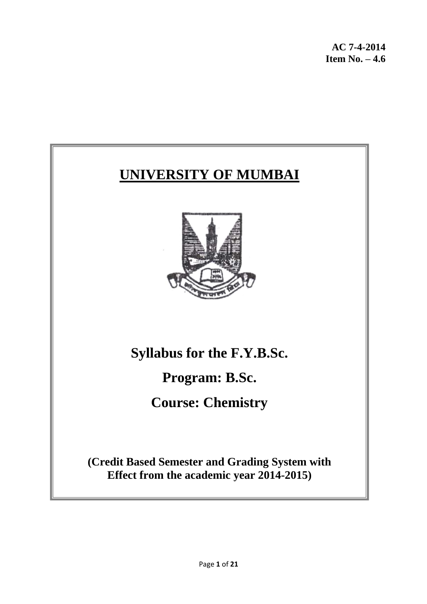**AC 7-4-2014 Item No. – 4.6**

# **UNIVERSITY OF MUMBAI**



**Syllabus for the F.Y.B.Sc.**

**Program: B.Sc.**

**Course: Chemistry**

**(Credit Based Semester and Grading System with Effect from the academic year 2014-2015)**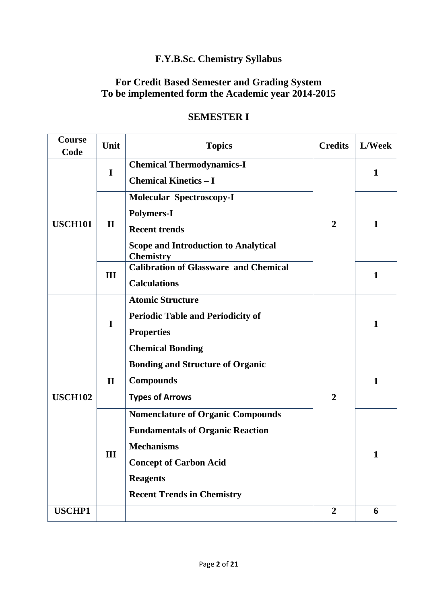# **F.Y.B.Sc. Chemistry Syllabus**

#### **For Credit Based Semester and Grading System To be implemented form the Academic year 2014-2015**

| Course<br>Code | Unit         | <b>Topics</b>                                                                                                                                                                                     | <b>Credits</b> | L/Week       |
|----------------|--------------|---------------------------------------------------------------------------------------------------------------------------------------------------------------------------------------------------|----------------|--------------|
| I              |              | <b>Chemical Thermodynamics-I</b><br><b>Chemical Kinetics - I</b>                                                                                                                                  |                | $\mathbf{1}$ |
|                | $\mathbf{I}$ | <b>Molecular Spectroscopy-I</b><br><b>Polymers-I</b>                                                                                                                                              |                |              |
| <b>USCH101</b> |              | <b>Recent trends</b><br><b>Scope and Introduction to Analytical</b>                                                                                                                               | $\overline{2}$ | $\mathbf{1}$ |
|                | III          | <b>Chemistry</b><br><b>Calibration of Glassware and Chemical</b><br><b>Calculations</b>                                                                                                           |                | $\mathbf{1}$ |
|                | I            | <b>Atomic Structure</b><br><b>Periodic Table and Periodicity of</b><br><b>Properties</b><br><b>Chemical Bonding</b>                                                                               |                | 1            |
| <b>USCH102</b> | $\mathbf{I}$ | <b>Bonding and Structure of Organic</b><br><b>Compounds</b><br><b>Types of Arrows</b>                                                                                                             | $\overline{2}$ | 1            |
|                | Ш            | <b>Nomenclature of Organic Compounds</b><br><b>Fundamentals of Organic Reaction</b><br><b>Mechanisms</b><br><b>Concept of Carbon Acid</b><br><b>Reagents</b><br><b>Recent Trends in Chemistry</b> |                | 1            |
| <b>USCHP1</b>  |              |                                                                                                                                                                                                   | $\overline{2}$ | 6            |

# **SEMESTER I**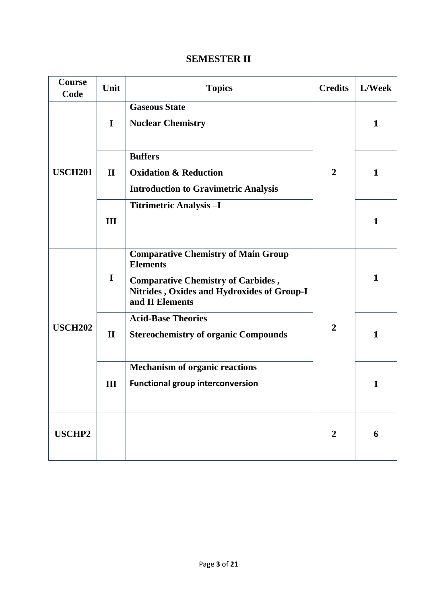#### **SEMESTER II**

| <b>Course</b><br>Code | Unit         | <b>Topics</b>                                                                                                                                                               | <b>Credits</b> | L/Week |
|-----------------------|--------------|-----------------------------------------------------------------------------------------------------------------------------------------------------------------------------|----------------|--------|
|                       | $\mathbf I$  | <b>Gaseous State</b><br><b>Nuclear Chemistry</b>                                                                                                                            |                | 1      |
| <b>USCH201</b>        | $\mathbf{I}$ | <b>Buffers</b><br><b>Oxidation &amp; Reduction</b><br><b>Introduction to Gravimetric Analysis</b>                                                                           | $\overline{2}$ | 1      |
|                       | III          | <b>Titrimetric Analysis - I</b>                                                                                                                                             |                | 1      |
|                       | $\mathbf I$  | <b>Comparative Chemistry of Main Group</b><br><b>Elements</b><br><b>Comparative Chemistry of Carbides,</b><br>Nitrides, Oxides and Hydroxides of Group-I<br>and II Elements |                | 1      |
| <b>USCH202</b>        | $\mathbf{I}$ | <b>Acid-Base Theories</b><br><b>Stereochemistry of organic Compounds</b>                                                                                                    | $\overline{2}$ | 1      |
|                       | III          | <b>Mechanism of organic reactions</b><br><b>Functional group interconversion</b>                                                                                            |                | 1      |
| <b>USCHP2</b>         |              |                                                                                                                                                                             | $\overline{2}$ | 6      |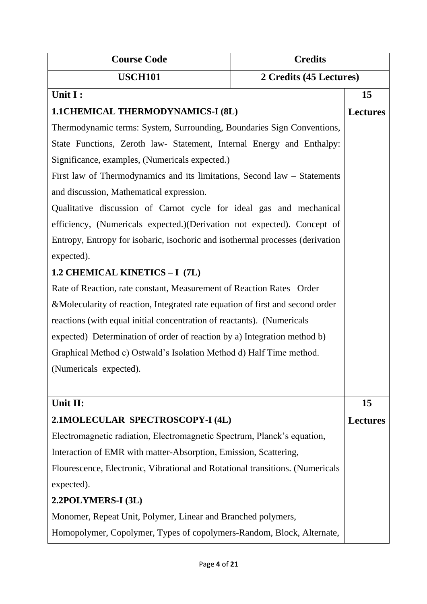| <b>Course Code</b>                                                            | <b>Credits</b> |                 |
|-------------------------------------------------------------------------------|----------------|-----------------|
| <b>USCH101</b><br>2 Credits (45 Lectures)                                     |                |                 |
| Unit I:                                                                       |                | 15              |
| <b>1.1CHEMICAL THERMODYNAMICS-I (8L)</b>                                      |                |                 |
| Thermodynamic terms: System, Surrounding, Boundaries Sign Conventions,        |                |                 |
| State Functions, Zeroth law- Statement, Internal Energy and Enthalpy:         |                |                 |
| Significance, examples, (Numericals expected.)                                |                |                 |
| First law of Thermodynamics and its limitations, Second law - Statements      |                |                 |
| and discussion, Mathematical expression.                                      |                |                 |
| Qualitative discussion of Carnot cycle for ideal gas and mechanical           |                |                 |
| efficiency, (Numericals expected.)(Derivation not expected). Concept of       |                |                 |
| Entropy, Entropy for isobaric, isochoric and isothermal processes (derivation |                |                 |
| expected).                                                                    |                |                 |
| 1.2 CHEMICAL KINETICS - I (7L)                                                |                |                 |
| Rate of Reaction, rate constant, Measurement of Reaction Rates Order          |                |                 |
| &Molecularity of reaction, Integrated rate equation of first and second order |                |                 |
| reactions (with equal initial concentration of reactants). (Numericals        |                |                 |
| expected) Determination of order of reaction by a) Integration method b)      |                |                 |
| Graphical Method c) Ostwald's Isolation Method d) Half Time method.           |                |                 |
| (Numericals expected).                                                        |                |                 |
|                                                                               |                |                 |
| Unit II:                                                                      |                | 15              |
| 2.1MOLECULAR SPECTROSCOPY-I (4L)                                              |                | <b>Lectures</b> |
| Electromagnetic radiation, Electromagnetic Spectrum, Planck's equation,       |                |                 |
| Interaction of EMR with matter-Absorption, Emission, Scattering,              |                |                 |
| Flourescence, Electronic, Vibrational and Rotational transitions. (Numericals |                |                 |
| expected).                                                                    |                |                 |
| 2.2POLYMERS-I (3L)                                                            |                |                 |
| Monomer, Repeat Unit, Polymer, Linear and Branched polymers,                  |                |                 |
| Homopolymer, Copolymer, Types of copolymers-Random, Block, Alternate,         |                |                 |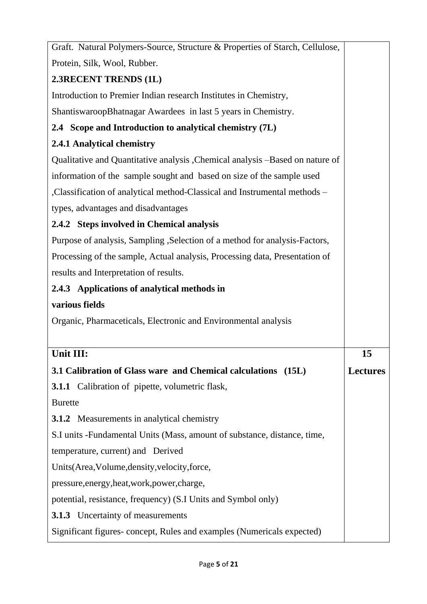| Graft. Natural Polymers-Source, Structure & Properties of Starch, Cellulose,  |                 |  |  |
|-------------------------------------------------------------------------------|-----------------|--|--|
| Protein, Silk, Wool, Rubber.                                                  |                 |  |  |
| 2.3RECENT TRENDS (1L)                                                         |                 |  |  |
| Introduction to Premier Indian research Institutes in Chemistry,              |                 |  |  |
| ShantiswaroopBhatnagar Awardees in last 5 years in Chemistry.                 |                 |  |  |
| 2.4 Scope and Introduction to analytical chemistry (7L)                       |                 |  |  |
| 2.4.1 Analytical chemistry                                                    |                 |  |  |
| Qualitative and Quantitative analysis , Chemical analysis -Based on nature of |                 |  |  |
| information of the sample sought and based on size of the sample used         |                 |  |  |
| , Classification of analytical method-Classical and Instrumental methods -    |                 |  |  |
| types, advantages and disadvantages                                           |                 |  |  |
| 2.4.2 Steps involved in Chemical analysis                                     |                 |  |  |
| Purpose of analysis, Sampling , Selection of a method for analysis-Factors,   |                 |  |  |
| Processing of the sample, Actual analysis, Processing data, Presentation of   |                 |  |  |
| results and Interpretation of results.                                        |                 |  |  |
| 2.4.3 Applications of analytical methods in                                   |                 |  |  |
| various fields                                                                |                 |  |  |
| Organic, Pharmaceticals, Electronic and Environmental analysis                |                 |  |  |
|                                                                               |                 |  |  |
| Unit III:                                                                     | 15              |  |  |
| 3.1 Calibration of Glass ware and Chemical calculations (15L)                 | <b>Lectures</b> |  |  |
| <b>3.1.1</b> Calibration of pipette, volumetric flask,                        |                 |  |  |
| <b>Burette</b>                                                                |                 |  |  |
| <b>3.1.2</b> Measurements in analytical chemistry                             |                 |  |  |
| S.I units -Fundamental Units (Mass, amount of substance, distance, time,      |                 |  |  |
| temperature, current) and Derived                                             |                 |  |  |
| Units(Area, Volume, density, velocity, force,                                 |                 |  |  |
| pressure, energy, heat, work, power, charge,                                  |                 |  |  |
| potential, resistance, frequency) (S.I Units and Symbol only)                 |                 |  |  |
| <b>3.1.3</b> Uncertainty of measurements                                      |                 |  |  |
| Significant figures-concept, Rules and examples (Numericals expected)         |                 |  |  |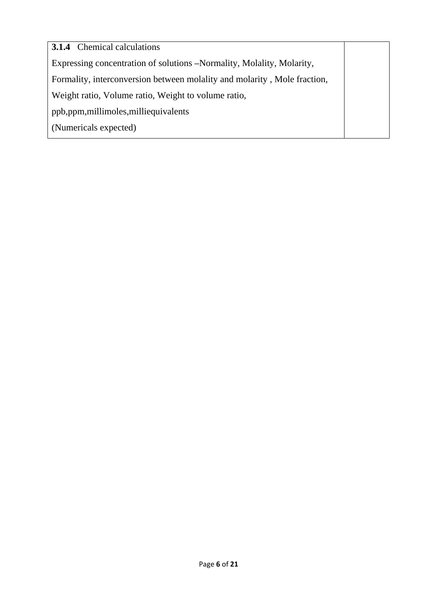**3.1.4** Chemical calculations Expressing concentration of solutions **–**Normality, Molality, Molarity, Formality, interconversion between molality and molarity , Mole fraction, Weight ratio, Volume ratio, Weight to volume ratio, ppb,ppm,millimoles,milliequivalents (Numericals expected)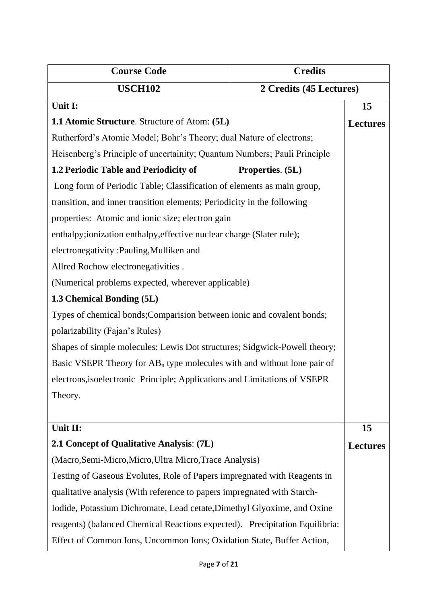| <b>Course Code</b>                                                          | <b>Credits</b>   |                 |
|-----------------------------------------------------------------------------|------------------|-----------------|
| <b>USCH102</b><br>2 Credits (45 Lectures)                                   |                  |                 |
| Unit I:                                                                     |                  | 15              |
| <b>1.1 Atomic Structure.</b> Structure of Atom: (5L)                        |                  |                 |
| Rutherford's Atomic Model; Bohr's Theory; dual Nature of electrons;         |                  |                 |
| Heisenberg's Principle of uncertainity; Quantum Numbers; Pauli Principle    |                  |                 |
| 1.2 Periodic Table and Periodicity of                                       | Properties. (5L) |                 |
| Long form of Periodic Table; Classification of elements as main group,      |                  |                 |
| transition, and inner transition elements; Periodicity in the following     |                  |                 |
| properties: Atomic and ionic size; electron gain                            |                  |                 |
| enthalpy;ionization enthalpy, effective nuclear charge (Slater rule);       |                  |                 |
| electronegativity: Pauling, Mulliken and                                    |                  |                 |
| Allred Rochow electronegativities.                                          |                  |                 |
| (Numerical problems expected, wherever applicable)                          |                  |                 |
| 1.3 Chemical Bonding (5L)                                                   |                  |                 |
| Types of chemical bonds; Comparision between ionic and covalent bonds;      |                  |                 |
| polarizability (Fajan's Rules)                                              |                  |                 |
| Shapes of simple molecules: Lewis Dot structures; Sidgwick-Powell theory;   |                  |                 |
| Basic VSEPR Theory for $AB_n$ type molecules with and without lone pair of  |                  |                 |
| electrons, isoelectronic Principle; Applications and Limitations of VSEPR   |                  |                 |
| Theory.                                                                     |                  |                 |
|                                                                             |                  |                 |
| Unit II:                                                                    |                  | 15              |
| 2.1 Concept of Qualitative Analysis: (7L)                                   |                  | <b>Lectures</b> |
| (Macro, Semi-Micro, Micro, Ultra Micro, Trace Analysis)                     |                  |                 |
| Testing of Gaseous Evolutes, Role of Papers impregnated with Reagents in    |                  |                 |
| qualitative analysis (With reference to papers impregnated with Starch-     |                  |                 |
| Iodide, Potassium Dichromate, Lead cetate, Dimethyl Glyoxime, and Oxine     |                  |                 |
| reagents) (balanced Chemical Reactions expected). Precipitation Equilibria: |                  |                 |
| Effect of Common Ions, Uncommon Ions; Oxidation State, Buffer Action,       |                  |                 |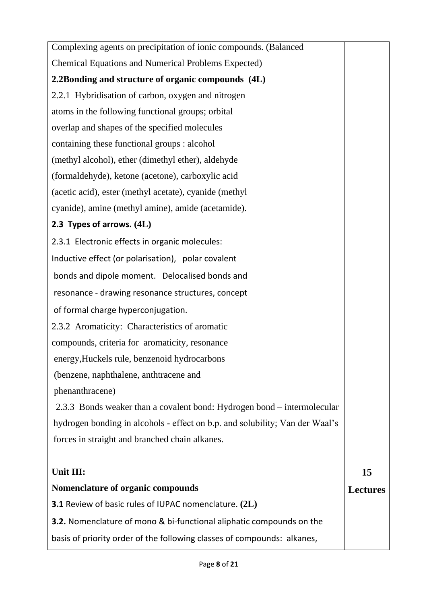| <b>Chemical Equations and Numerical Problems Expected)</b><br>2.2Bonding and structure of organic compounds (4L)<br>2.2.1 Hybridisation of carbon, oxygen and nitrogen<br>atoms in the following functional groups; orbital<br>overlap and shapes of the specified molecules |
|------------------------------------------------------------------------------------------------------------------------------------------------------------------------------------------------------------------------------------------------------------------------------|
|                                                                                                                                                                                                                                                                              |
|                                                                                                                                                                                                                                                                              |
|                                                                                                                                                                                                                                                                              |
|                                                                                                                                                                                                                                                                              |
|                                                                                                                                                                                                                                                                              |
| containing these functional groups : alcohol                                                                                                                                                                                                                                 |
| (methyl alcohol), ether (dimethyl ether), aldehyde                                                                                                                                                                                                                           |
| (formaldehyde), ketone (acetone), carboxylic acid                                                                                                                                                                                                                            |
| (acetic acid), ester (methyl acetate), cyanide (methyl                                                                                                                                                                                                                       |
| cyanide), amine (methyl amine), amide (acetamide).                                                                                                                                                                                                                           |
| 2.3 Types of arrows. (4L)                                                                                                                                                                                                                                                    |
| 2.3.1 Electronic effects in organic molecules:                                                                                                                                                                                                                               |
| Inductive effect (or polarisation), polar covalent                                                                                                                                                                                                                           |
| bonds and dipole moment. Delocalised bonds and                                                                                                                                                                                                                               |
| resonance - drawing resonance structures, concept                                                                                                                                                                                                                            |
| of formal charge hyperconjugation.                                                                                                                                                                                                                                           |
| 2.3.2 Aromaticity: Characteristics of aromatic                                                                                                                                                                                                                               |
| compounds, criteria for aromaticity, resonance                                                                                                                                                                                                                               |
| energy, Huckels rule, benzenoid hydrocarbons                                                                                                                                                                                                                                 |
|                                                                                                                                                                                                                                                                              |
| (benzene, naphthalene, anthtracene and                                                                                                                                                                                                                                       |
| phenanthracene)                                                                                                                                                                                                                                                              |
| 2.3.3 Bonds weaker than a covalent bond: Hydrogen bond – intermolecular                                                                                                                                                                                                      |
| hydrogen bonding in alcohols - effect on b.p. and solubility; Van der Waal's                                                                                                                                                                                                 |
| forces in straight and branched chain alkanes.                                                                                                                                                                                                                               |
|                                                                                                                                                                                                                                                                              |
| Unit III:<br>15                                                                                                                                                                                                                                                              |
| Nomenclature of organic compounds<br><b>Lectures</b>                                                                                                                                                                                                                         |
| <b>3.1</b> Review of basic rules of IUPAC nomenclature. (2L)                                                                                                                                                                                                                 |
| <b>3.2.</b> Nomenclature of mono & bi-functional aliphatic compounds on the                                                                                                                                                                                                  |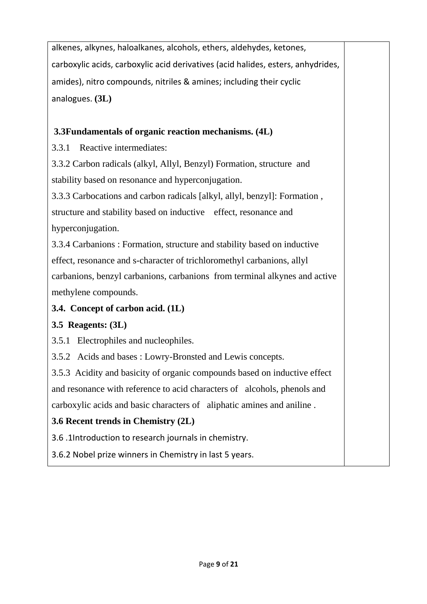alkenes, alkynes, haloalkanes, alcohols, ethers, aldehydes, ketones, carboxylic acids, carboxylic acid derivatives (acid halides, esters, anhydrides, amides), nitro compounds, nitriles & amines; including their cyclic analogues. **(3L)**

# **3.3Fundamentals of organic reaction mechanisms. (4L)**

3.3.1 Reactive intermediates:

3.3.2 Carbon radicals (alkyl, Allyl, Benzyl) Formation, structure and stability based on resonance and hyperconjugation.

3.3.3 Carbocations and carbon radicals [alkyl, allyl, benzyl]: Formation , structure and stability based on inductive effect, resonance and hyperconjugation.

3.3.4 Carbanions : Formation, structure and stability based on inductive effect, resonance and s-character of trichloromethyl carbanions, allyl carbanions, benzyl carbanions, carbanions from terminal alkynes and active methylene compounds.

### **3.4. Concept of carbon acid. (1L)**

### **3.5 Reagents: (3L)**

3.5.1 Electrophiles and nucleophiles.

3.5.2 Acids and bases : Lowry-Bronsted and Lewis concepts.

3.5.3 Acidity and basicity of organic compounds based on inductive effect and resonance with reference to acid characters of alcohols, phenols and carboxylic acids and basic characters of aliphatic amines and aniline .

# **3.6 Recent trends in Chemistry (2L)**

3.6 .1Introduction to research journals in chemistry.

3.6.2 Nobel prize winners in Chemistry in last 5 years.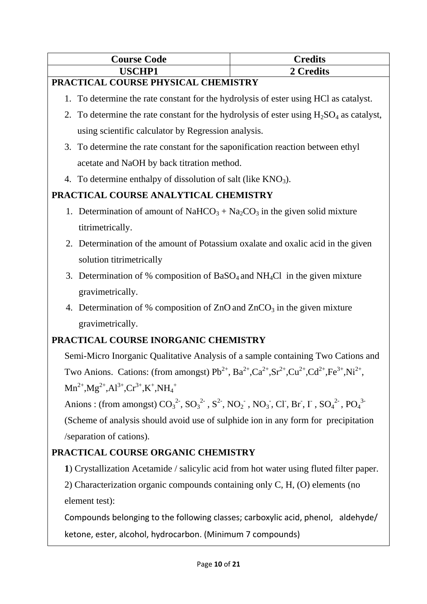| <b>Course Code</b> | Credits |
|--------------------|---------|
| <b>LISCHP1</b>     | redits' |

#### **PRACTICAL COURSE PHYSICAL CHEMISTRY**

- 1. To determine the rate constant for the hydrolysis of ester using HCl as catalyst.
- 2. To determine the rate constant for the hydrolysis of ester using  $H_2SO_4$  as catalyst, using scientific calculator by Regression analysis.
- 3. To determine the rate constant for the saponification reaction between ethyl acetate and NaOH by back titration method.
- 4. To determine enthalpy of dissolution of salt (like  $KNO<sub>3</sub>$ ).

# **PRACTICAL COURSE ANALYTICAL CHEMISTRY**

- 1. Determination of amount of NaHCO<sub>3</sub> + Na<sub>2</sub>CO<sub>3</sub> in the given solid mixture titrimetrically.
- 2. Determination of the amount of Potassium oxalate and oxalic acid in the given solution titrimetrically
- 3. Determination of % composition of BaSO<sub>4</sub> and NH<sub>4</sub>Cl in the given mixture gravimetrically.
- 4. Determination of % composition of  $ZnO$  and  $ZnCO<sub>3</sub>$  in the given mixture gravimetrically.

### **PRACTICAL COURSE INORGANIC CHEMISTRY**

Semi-Micro Inorganic Qualitative Analysis of a sample containing Two Cations and Two Anions. Cations: (from amongst)  $Pb^{2+}$ , Ba<sup>2+</sup>,Ca<sup>2+</sup>,Sr<sup>2+</sup>,Cu<sup>2+</sup>,Cd<sup>2+</sup>,Fe<sup>3+</sup>,Ni<sup>2+</sup>,  $Mn^{2+}, Mg^{2+}, Al^{3+}, Cr^{3+}, K^+, NH_4^+$ 

Anions : (from amongst)  $CO_3^2$ ,  $SO_3^2$ ,  $SO_3^2$ ,  $NO_2$ ,  $NO_2$ ,  $NO_3$ ,  $Cl$ ,  $Br$ ,  $I$ ,  $SO_4^2$ ,  $PO_4^3$ (Scheme of analysis should avoid use of sulphide ion in any form for precipitation /separation of cations).

### **PRACTICAL COURSE ORGANIC CHEMISTRY**

**1**) Crystallization Acetamide / salicylic acid from hot water using fluted filter paper.

2) Characterization organic compounds containing only C, H, (O) elements (no element test):

Compounds belonging to the following classes; carboxylic acid, phenol, aldehyde/ ketone, ester, alcohol, hydrocarbon. (Minimum 7 compounds)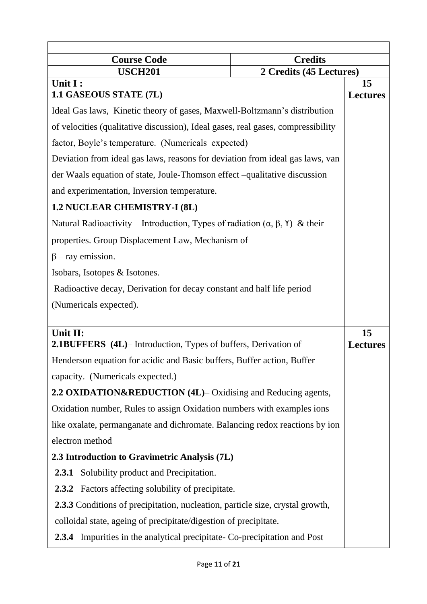| <b>Credits</b><br><b>Course Code</b>                                                       |                         |                       |
|--------------------------------------------------------------------------------------------|-------------------------|-----------------------|
| <b>USCH201</b>                                                                             | 2 Credits (45 Lectures) |                       |
| Unit I:<br>1.1 GASEOUS STATE (7L)                                                          |                         | 15<br><b>Lectures</b> |
| Ideal Gas laws, Kinetic theory of gases, Maxwell-Boltzmann's distribution                  |                         |                       |
| of velocities (qualitative discussion), Ideal gases, real gases, compressibility           |                         |                       |
| factor, Boyle's temperature. (Numericals expected)                                         |                         |                       |
| Deviation from ideal gas laws, reasons for deviation from ideal gas laws, van              |                         |                       |
| der Waals equation of state, Joule-Thomson effect –qualitative discussion                  |                         |                       |
| and experimentation, Inversion temperature.                                                |                         |                       |
| 1.2 NUCLEAR CHEMISTRY-I (8L)                                                               |                         |                       |
| Natural Radioactivity – Introduction, Types of radiation $(\alpha, \beta, \gamma)$ & their |                         |                       |
| properties. Group Displacement Law, Mechanism of                                           |                         |                       |
| $\beta$ – ray emission.                                                                    |                         |                       |
| Isobars, Isotopes & Isotones.                                                              |                         |                       |
| Radioactive decay, Derivation for decay constant and half life period                      |                         |                       |
| (Numericals expected).                                                                     |                         |                       |
|                                                                                            |                         |                       |
| Unit II:<br><b>2.1BUFFERS</b> (4L)– Introduction, Types of buffers, Derivation of          |                         | 15<br><b>Lectures</b> |
| Henderson equation for acidic and Basic buffers, Buffer action, Buffer                     |                         |                       |
| capacity. (Numericals expected.)                                                           |                         |                       |
| 2.2 OXIDATION&REDUCTION (4L)– Oxidising and Reducing agents,                               |                         |                       |
| Oxidation number, Rules to assign Oxidation numbers with examples ions                     |                         |                       |
| like oxalate, permanganate and dichromate. Balancing redox reactions by ion                |                         |                       |
| electron method                                                                            |                         |                       |
| 2.3 Introduction to Gravimetric Analysis (7L)                                              |                         |                       |
| <b>2.3.1</b> Solubility product and Precipitation.                                         |                         |                       |
| 2.3.2 Factors affecting solubility of precipitate.                                         |                         |                       |
| <b>2.3.3</b> Conditions of precipitation, nucleation, particle size, crystal growth,       |                         |                       |
| colloidal state, ageing of precipitate/digestion of precipitate.                           |                         |                       |
| <b>2.3.4</b> Impurities in the analytical precipitate- Co-precipitation and Post           |                         |                       |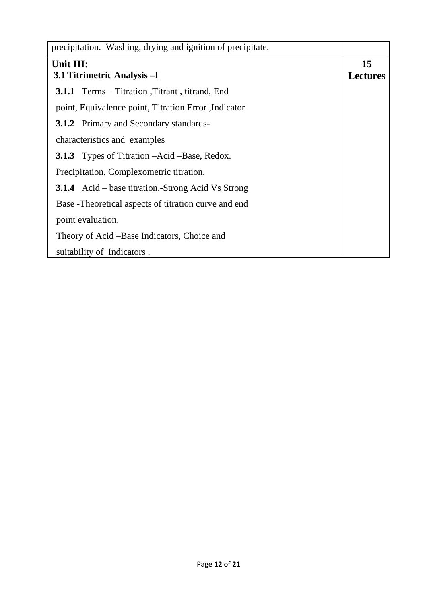| precipitation. Washing, drying and ignition of precipitate. |                 |
|-------------------------------------------------------------|-----------------|
| Unit III:                                                   | 15              |
| 3.1 Titrimetric Analysis - I                                | <b>Lectures</b> |
| <b>3.1.1</b> Terms – Titration , Titrant, titrand, End      |                 |
| point, Equivalence point, Titration Error, Indicator        |                 |
| <b>3.1.2</b> Primary and Secondary standards-               |                 |
| characteristics and examples                                |                 |
| <b>3.1.3</b> Types of Titration –Acid –Base, Redox.         |                 |
| Precipitation, Complexometric titration.                    |                 |
| <b>3.1.4</b> Acid – base titration.-Strong Acid Vs Strong   |                 |
| Base - Theoretical aspects of titration curve and end       |                 |
| point evaluation.                                           |                 |
| Theory of Acid – Base Indicators, Choice and                |                 |
| suitability of Indicators.                                  |                 |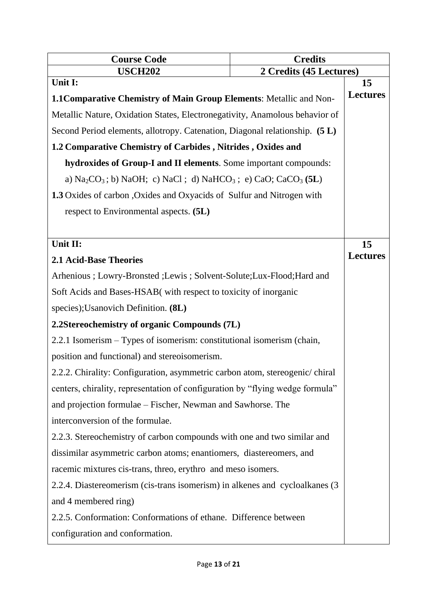| <b>Credits</b><br><b>Course Code</b>                                                                                             |  |                       |
|----------------------------------------------------------------------------------------------------------------------------------|--|-----------------------|
| <b>USCH202</b><br>2 Credits (45 Lectures)                                                                                        |  |                       |
| Unit I:                                                                                                                          |  | 15<br><b>Lectures</b> |
| 1.1 Comparative Chemistry of Main Group Elements: Metallic and Non-                                                              |  |                       |
| Metallic Nature, Oxidation States, Electronegativity, Anamolous behavior of                                                      |  |                       |
| Second Period elements, allotropy. Catenation, Diagonal relationship. (5 L)                                                      |  |                       |
| 1.2 Comparative Chemistry of Carbides, Nitrides, Oxides and                                                                      |  |                       |
| hydroxides of Group-I and II elements. Some important compounds:                                                                 |  |                       |
| a) $\text{Na}_2\text{CO}_3$ ; b) $\text{NaOH}$ ; c) $\text{NaCl}$ ; d) $\text{NaHCO}_3$ ; e) $\text{CaO}$ ; $\text{CaCO}_3$ (5L) |  |                       |
| 1.3 Oxides of carbon, Oxides and Oxyacids of Sulfur and Nitrogen with                                                            |  |                       |
| respect to Environmental aspects. (5L)                                                                                           |  |                       |
|                                                                                                                                  |  |                       |
| Unit II:                                                                                                                         |  | 15                    |
| <b>2.1 Acid-Base Theories</b>                                                                                                    |  | <b>Lectures</b>       |
| Arhenious ; Lowry-Bronsted ; Lewis ; Solvent-Solute; Lux-Flood; Hard and                                                         |  |                       |
| Soft Acids and Bases-HSAB (with respect to toxicity of inorganic                                                                 |  |                       |
| species); Usanovich Definition. (8L)                                                                                             |  |                       |
| 2.2Stereochemistry of organic Compounds (7L)                                                                                     |  |                       |
| 2.2.1 Isomerism – Types of isomerism: constitutional isomerism (chain,                                                           |  |                       |
| position and functional) and stereoisomerism.                                                                                    |  |                       |
| 2.2.2. Chirality: Configuration, asymmetric carbon atom, stereogenic/chiral                                                      |  |                       |
| centers, chirality, representation of configuration by "flying wedge formula"                                                    |  |                       |
| and projection formulae – Fischer, Newman and Sawhorse. The                                                                      |  |                       |
| interconversion of the formulae.                                                                                                 |  |                       |
| 2.2.3. Stereochemistry of carbon compounds with one and two similar and                                                          |  |                       |
| dissimilar asymmetric carbon atoms; enantiomers, diastereomers, and                                                              |  |                       |
| racemic mixtures cis-trans, threo, erythro and meso isomers.                                                                     |  |                       |
| 2.2.4. Diastereomerism (cis-trans isomerism) in alkenes and cycloalkanes (3                                                      |  |                       |
| and 4 membered ring)                                                                                                             |  |                       |
| 2.2.5. Conformation: Conformations of ethane. Difference between                                                                 |  |                       |
| configuration and conformation.                                                                                                  |  |                       |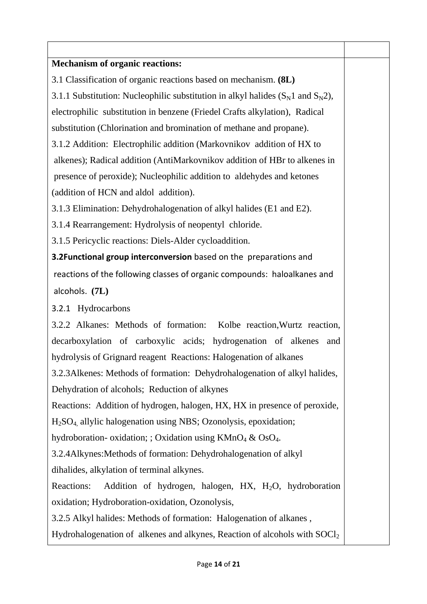| <b>Mechanism of organic reactions:</b>                                                  |  |  |
|-----------------------------------------------------------------------------------------|--|--|
| 3.1 Classification of organic reactions based on mechanism. (8L)                        |  |  |
| 3.1.1 Substitution: Nucleophilic substitution in alkyl halides $(S_N 1$ and $S_N 2)$ ,  |  |  |
| electrophilic substitution in benzene (Friedel Crafts alkylation), Radical              |  |  |
| substitution (Chlorination and bromination of methane and propane).                     |  |  |
| 3.1.2 Addition: Electrophilic addition (Markovnikov addition of HX to                   |  |  |
| alkenes); Radical addition (AntiMarkovnikov addition of HBr to alkenes in               |  |  |
| presence of peroxide); Nucleophilic addition to aldehydes and ketones                   |  |  |
| (addition of HCN and aldol addition).                                                   |  |  |
| 3.1.3 Elimination: Dehydrohalogenation of alkyl halides (E1 and E2).                    |  |  |
| 3.1.4 Rearrangement: Hydrolysis of neopentyl chloride.                                  |  |  |
| 3.1.5 Pericyclic reactions: Diels-Alder cycloaddition.                                  |  |  |
| 3.2Functional group interconversion based on the preparations and                       |  |  |
| reactions of the following classes of organic compounds: haloalkanes and                |  |  |
| alcohols. (7L)                                                                          |  |  |
| 3.2.1 Hydrocarbons                                                                      |  |  |
| 3.2.2 Alkanes: Methods of formation: Kolbe reaction, Wurtz reaction,                    |  |  |
| decarboxylation of carboxylic acids; hydrogenation of alkenes<br>and                    |  |  |
| hydrolysis of Grignard reagent Reactions: Halogenation of alkanes                       |  |  |
| 3.2.3 Alkenes: Methods of formation: Dehydrohalogenation of alkyl halides,              |  |  |
| Dehydration of alcohols; Reduction of alkynes                                           |  |  |
| Reactions: Addition of hydrogen, halogen, HX, HX in presence of peroxide,               |  |  |
| $H2SO4$ , allylic halogenation using NBS; Ozonolysis, epoxidation;                      |  |  |
| hydroboration- oxidation; ; Oxidation using $KMnO4 \& OsO4$ .                           |  |  |
| 3.2.4Alkynes: Methods of formation: Dehydrohalogenation of alkyl                        |  |  |
| dihalides, alkylation of terminal alkynes.                                              |  |  |
| Addition of hydrogen, halogen, HX, H <sub>2</sub> O, hydroboration<br><b>Reactions:</b> |  |  |
| oxidation; Hydroboration-oxidation, Ozonolysis,                                         |  |  |
| 3.2.5 Alkyl halides: Methods of formation: Halogenation of alkanes,                     |  |  |
| Hydrohalogenation of alkenes and alkynes, Reaction of alcohols with SOCl <sub>2</sub>   |  |  |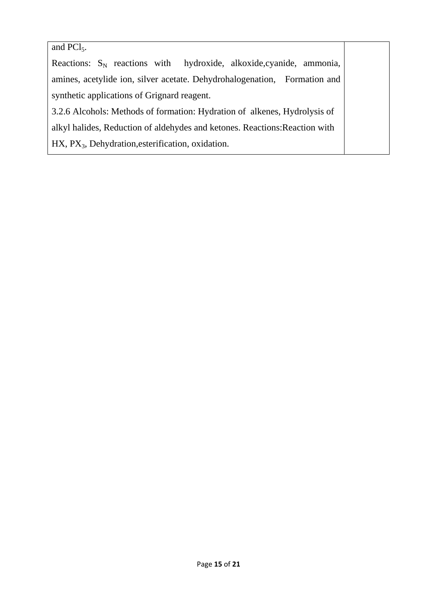#### and  $PCl<sub>5</sub>$ .

Reactions:  $S_N$  reactions with hydroxide, alkoxide, cyanide, ammonia, amines, acetylide ion, silver acetate. Dehydrohalogenation, Formation and synthetic applications of Grignard reagent. 3.2.6 Alcohols: Methods of formation: Hydration of alkenes, Hydrolysis of alkyl halides, Reduction of aldehydes and ketones. Reactions:Reaction with

HX, PX<sub>3</sub>, Dehydration, esterification, oxidation.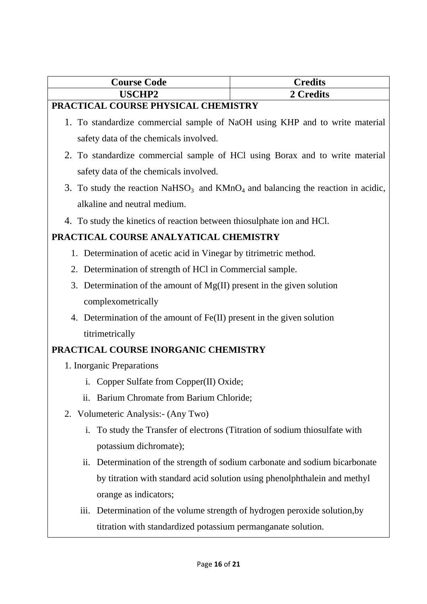| <b>Course Code</b> | <b>Predits</b>      |
|--------------------|---------------------|
| <b>VISCHP2</b>     | $\mathbb{k}$ redits |
|                    |                     |

#### **PRACTICAL COURSE PHYSICAL CHEMISTRY**

- 1. To standardize commercial sample of NaOH using KHP and to write material safety data of the chemicals involved.
- 2. To standardize commercial sample of HCl using Borax and to write material safety data of the chemicals involved.
- 3. To study the reaction  $NaHSO<sub>3</sub>$  and  $KMnO<sub>4</sub>$  and balancing the reaction in acidic, alkaline and neutral medium.
- 4. To study the kinetics of reaction between thiosulphate ion and HCl.

# **PRACTICAL COURSE ANALYATICAL CHEMISTRY**

- 1. Determination of acetic acid in Vinegar by titrimetric method.
- 2. Determination of strength of HCl in Commercial sample.
- 3. Determination of the amount of Mg(II) present in the given solution complexometrically
- 4. Determination of the amount of Fe(II) present in the given solution titrimetrically

# **PRACTICAL COURSE INORGANIC CHEMISTRY**

- 1. Inorganic Preparations
	- i. Copper Sulfate from Copper(II) Oxide;
	- ii. Barium Chromate from Barium Chloride;
- 2. Volumeteric Analysis:- (Any Two)
	- i. To study the Transfer of electrons (Titration of sodium thiosulfate with potassium dichromate);
	- ii. Determination of the strength of sodium carbonate and sodium bicarbonate by titration with standard acid solution using phenolphthalein and methyl orange as indicators;
	- iii. Determination of the volume strength of hydrogen peroxide solution,by titration with standardized potassium permanganate solution.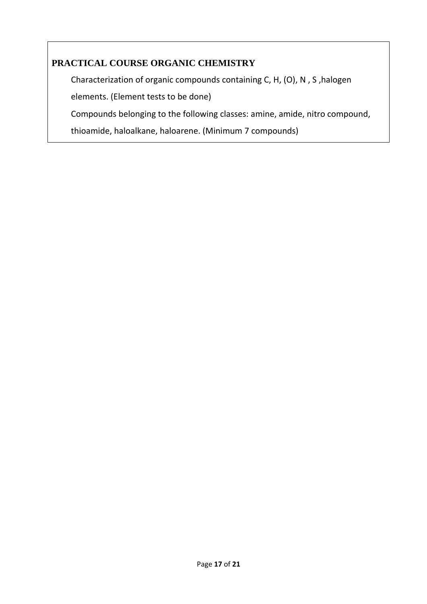#### **PRACTICAL COURSE ORGANIC CHEMISTRY**

Characterization of organic compounds containing C, H, (O), N , S ,halogen

elements. (Element tests to be done)

Compounds belonging to the following classes: amine, amide, nitro compound,

thioamide, haloalkane, haloarene. (Minimum 7 compounds)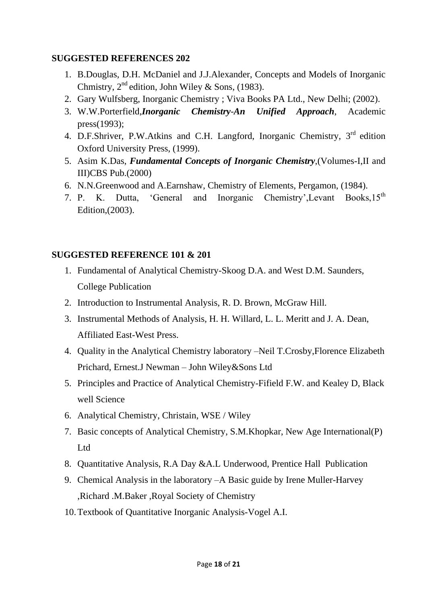#### **SUGGESTED REFERENCES 202**

- 1. B.Douglas, D.H. McDaniel and J.J.Alexander, Concepts and Models of Inorganic Chmistry,  $2^{nd}$  edition, John Wiley & Sons, (1983).
- 2. Gary Wulfsberg, Inorganic Chemistry ; Viva Books PA Ltd., New Delhi; (2002).
- 3. W.W.Porterfield,*Inorganic Chemistry-An Unified Approach*, Academic press(1993);
- 4. D.F.Shriver, P.W.Atkins and C.H. Langford, Inorganic Chemistry, 3rd edition Oxford University Press, (1999).
- 5. Asim K.Das, *Fundamental Concepts of Inorganic Chemistry*,(Volumes-I,II and III)CBS Pub.(2000)
- 6. N.N.Greenwood and A.Earnshaw, Chemistry of Elements, Pergamon, (1984).
- 7. P. K. Dutta, 'General and Inorganic Chemistry', Levant Books. $15^{th}$ Edition,(2003).

#### **SUGGESTED REFERENCE 101 & 201**

- 1. Fundamental of Analytical Chemistry-Skoog D.A. and West D.M. Saunders, College Publication
- 2. Introduction to Instrumental Analysis, R. D. Brown, McGraw Hill.
- 3. Instrumental Methods of Analysis, H. H. Willard, L. L. Meritt and J. A. Dean, Affiliated East-West Press.
- 4. Quality in the Analytical Chemistry laboratory –Neil T.Crosby,Florence Elizabeth Prichard, Ernest.J Newman – John Wiley&Sons Ltd
- 5. Principles and Practice of Analytical Chemistry-Fifield F.W. and Kealey D, Black well Science
- 6. Analytical Chemistry, Christain, WSE / Wiley
- 7. Basic concepts of Analytical Chemistry, S.M.Khopkar, New Age International(P) Ltd
- 8. Quantitative Analysis, R.A Day &A.L Underwood, Prentice Hall Publication
- 9. Chemical Analysis in the laboratory –A Basic guide by Irene Muller-Harvey ,Richard .M.Baker ,Royal Society of Chemistry
- 10.Textbook of Quantitative Inorganic Analysis-Vogel A.I.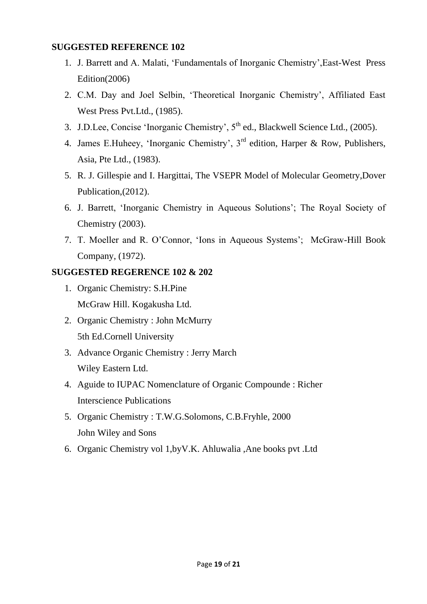#### **SUGGESTED REFERENCE 102**

- 1. J. Barrett and A. Malati, 'Fundamentals of Inorganic Chemistry',East-West Press Edition(2006)
- 2. C.M. Day and Joel Selbin, 'Theoretical Inorganic Chemistry', Affiliated East West Press Pvt.Ltd., (1985).
- 3. J.D.Lee, Concise 'Inorganic Chemistry', 5<sup>th</sup> ed., Blackwell Science Ltd., (2005).
- 4. James E.Huheey, 'Inorganic Chemistry', 3<sup>rd</sup> edition, Harper & Row, Publishers, Asia, Pte Ltd., (1983).
- 5. R. J. Gillespie and I. Hargittai, The VSEPR Model of Molecular Geometry,Dover Publication,(2012).
- 6. J. Barrett, 'Inorganic Chemistry in Aqueous Solutions'; The Royal Society of Chemistry (2003).
- 7. T. Moeller and R. O'Connor, 'Ions in Aqueous Systems'; McGraw-Hill Book Company, (1972).

#### **SUGGESTED REGERENCE 102 & 202**

- 1. Organic Chemistry: S.H.Pine McGraw Hill. Kogakusha Ltd.
- 2. Organic Chemistry : John McMurry 5th Ed.Cornell University
- 3. Advance Organic Chemistry : Jerry March Wiley Eastern Ltd.
- 4. Aguide to IUPAC Nomenclature of Organic Compounde : Richer Interscience Publications
- 5. Organic Chemistry : T.W.G.Solomons, C.B.Fryhle, 2000 John Wiley and Sons
- 6. Organic Chemistry vol 1,byV.K. Ahluwalia ,Ane books pvt .Ltd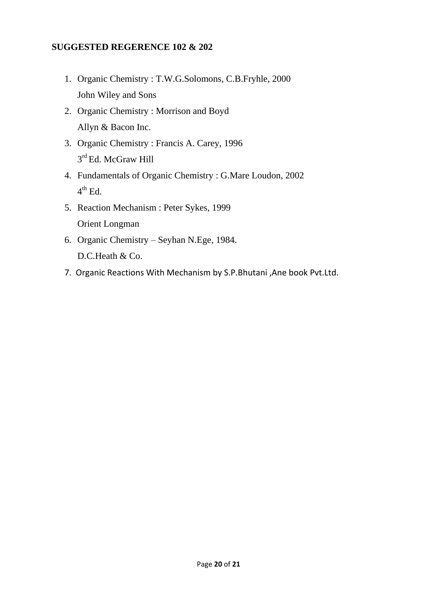#### **SUGGESTED REGERENCE 102 & 202**

- 1. Organic Chemistry : T.W.G.Solomons, C.B.Fryhle, 2000 John Wiley and Sons
- 2. Organic Chemistry : Morrison and Boyd Allyn & Bacon Inc.
- 3. Organic Chemistry : Francis A. Carey, 1996 3<sup>rd</sup> Ed. McGraw Hill
- 4. Fundamentals of Organic Chemistry : G.Mare Loudon, 2002  $4^{\text{th}}$  Ed.
- 5. Reaction Mechanism : Peter Sykes, 1999 Orient Longman
- 6. Organic Chemistry Seyhan N.Ege, 1984. D.C.Heath & Co.
- 7. Organic Reactions With Mechanism by S.P.Bhutani ,Ane book Pvt.Ltd.